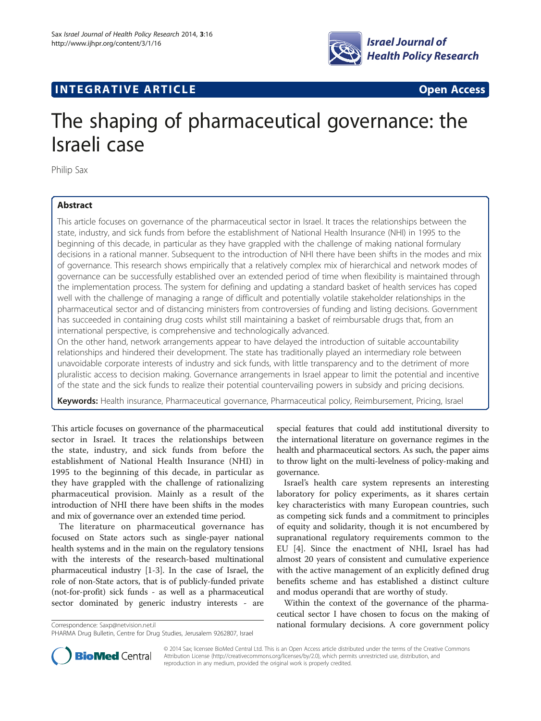

# **INTEGRATIVE ARTICLE Example 2018 Open Access**

# The shaping of pharmaceutical governance: the Israeli case

Philip Sax

# Abstract

This article focuses on governance of the pharmaceutical sector in Israel. It traces the relationships between the state, industry, and sick funds from before the establishment of National Health Insurance (NHI) in 1995 to the beginning of this decade, in particular as they have grappled with the challenge of making national formulary decisions in a rational manner. Subsequent to the introduction of NHI there have been shifts in the modes and mix of governance. This research shows empirically that a relatively complex mix of hierarchical and network modes of governance can be successfully established over an extended period of time when flexibility is maintained through the implementation process. The system for defining and updating a standard basket of health services has coped well with the challenge of managing a range of difficult and potentially volatile stakeholder relationships in the pharmaceutical sector and of distancing ministers from controversies of funding and listing decisions. Government has succeeded in containing drug costs whilst still maintaining a basket of reimbursable drugs that, from an international perspective, is comprehensive and technologically advanced.

On the other hand, network arrangements appear to have delayed the introduction of suitable accountability relationships and hindered their development. The state has traditionally played an intermediary role between unavoidable corporate interests of industry and sick funds, with little transparency and to the detriment of more pluralistic access to decision making. Governance arrangements in Israel appear to limit the potential and incentive of the state and the sick funds to realize their potential countervailing powers in subsidy and pricing decisions.

Keywords: Health insurance, Pharmaceutical governance, Pharmaceutical policy, Reimbursement, Pricing, Israel

This article focuses on governance of the pharmaceutical sector in Israel. It traces the relationships between the state, industry, and sick funds from before the establishment of National Health Insurance (NHI) in 1995 to the beginning of this decade, in particular as they have grappled with the challenge of rationalizing pharmaceutical provision. Mainly as a result of the introduction of NHI there have been shifts in the modes and mix of governance over an extended time period.

The literature on pharmaceutical governance has focused on State actors such as single-payer national health systems and in the main on the regulatory tensions with the interests of the research-based multinational pharmaceutical industry [[1-3](#page-9-0)]. In the case of Israel, the role of non-State actors, that is of publicly-funded private (not-for-profit) sick funds - as well as a pharmaceutical sector dominated by generic industry interests - are

special features that could add institutional diversity to the international literature on governance regimes in the health and pharmaceutical sectors. As such, the paper aims to throw light on the multi-levelness of policy-making and governance.

Israel's health care system represents an interesting laboratory for policy experiments, as it shares certain key characteristics with many European countries, such as competing sick funds and a commitment to principles of equity and solidarity, though it is not encumbered by supranational regulatory requirements common to the EU [\[4](#page-9-0)]. Since the enactment of NHI, Israel has had almost 20 years of consistent and cumulative experience with the active management of an explicitly defined drug benefits scheme and has established a distinct culture and modus operandi that are worthy of study.

Within the context of the governance of the pharmaceutical sector I have chosen to focus on the making of Correspondence: [Saxp@netvision.net.il](mailto:Saxp@netvision.net.il) **national formulary decisions.** A core government policy



© 2014 Sax; licensee BioMed Central Ltd. This is an Open Access article distributed under the terms of the Creative Commons Attribution License (<http://creativecommons.org/licenses/by/2.0>), which permits unrestricted use, distribution, and reproduction in any medium, provided the original work is properly credited.

PHARMA Drug Bulletin, Centre for Drug Studies, Jerusalem 9262807, Israel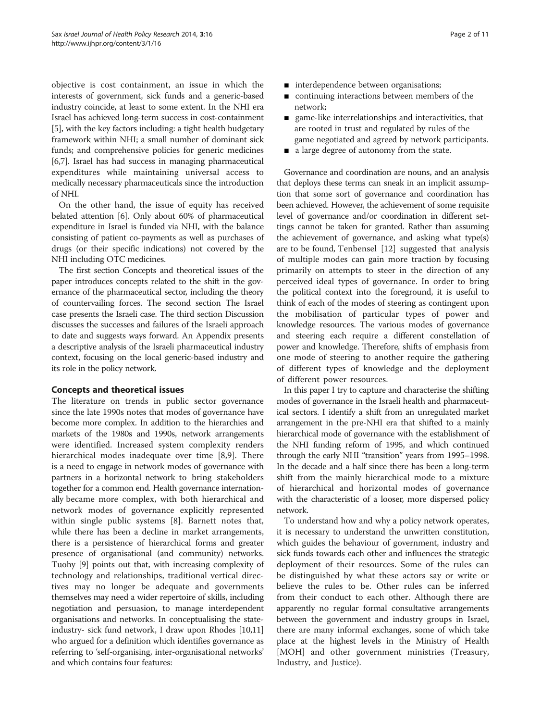objective is cost containment, an issue in which the interests of government, sick funds and a generic-based industry coincide, at least to some extent. In the NHI era Israel has achieved long-term success in cost-containment [[5\]](#page-9-0), with the key factors including: a tight health budgetary framework within NHI; a small number of dominant sick funds; and comprehensive policies for generic medicines [[6,7](#page-9-0)]. Israel has had success in managing pharmaceutical expenditures while maintaining universal access to medically necessary pharmaceuticals since the introduction of NHI.

On the other hand, the issue of equity has received belated attention [[6](#page-9-0)]. Only about 60% of pharmaceutical expenditure in Israel is funded via NHI, with the balance consisting of patient co-payments as well as purchases of drugs (or their specific indications) not covered by the NHI including OTC medicines.

The first section Concepts and theoretical issues of the paper introduces concepts related to the shift in the governance of the pharmaceutical sector, including the theory of countervailing forces. The second section [The Israel](#page-2-0) [case](#page-2-0) presents the Israeli case. The third section [Discussion](#page-7-0) discusses the successes and failures of the Israeli approach to date and suggests ways forward. An [Appendix](#page-8-0) presents a descriptive analysis of the Israeli pharmaceutical industry context, focusing on the local generic-based industry and its role in the policy network.

# Concepts and theoretical issues

The literature on trends in public sector governance since the late 1990s notes that modes of governance have become more complex. In addition to the hierarchies and markets of the 1980s and 1990s, network arrangements were identified. Increased system complexity renders hierarchical modes inadequate over time [\[8,9](#page-9-0)]. There is a need to engage in network modes of governance with partners in a horizontal network to bring stakeholders together for a common end. Health governance internationally became more complex, with both hierarchical and network modes of governance explicitly represented within single public systems [[8\]](#page-9-0). Barnett notes that, while there has been a decline in market arrangements, there is a persistence of hierarchical forms and greater presence of organisational (and community) networks. Tuohy [[9\]](#page-9-0) points out that, with increasing complexity of technology and relationships, traditional vertical directives may no longer be adequate and governments themselves may need a wider repertoire of skills, including negotiation and persuasion, to manage interdependent organisations and networks. In conceptualising the stateindustry- sick fund network, I draw upon Rhodes [\[10,11](#page-9-0)] who argued for a definition which identifies governance as referring to 'self-organising, inter-organisational networks' and which contains four features:

- interdependence between organisations;
- continuing interactions between members of the network;
- game-like interrelationships and interactivities, that are rooted in trust and regulated by rules of the game negotiated and agreed by network participants.
- a large degree of autonomy from the state.

Governance and coordination are nouns, and an analysis that deploys these terms can sneak in an implicit assumption that some sort of governance and coordination has been achieved. However, the achievement of some requisite level of governance and/or coordination in different settings cannot be taken for granted. Rather than assuming the achievement of governance, and asking what type(s) are to be found, Tenbensel [[12\]](#page-9-0) suggested that analysis of multiple modes can gain more traction by focusing primarily on attempts to steer in the direction of any perceived ideal types of governance. In order to bring the political context into the foreground, it is useful to think of each of the modes of steering as contingent upon the mobilisation of particular types of power and knowledge resources. The various modes of governance and steering each require a different constellation of power and knowledge. Therefore, shifts of emphasis from one mode of steering to another require the gathering of different types of knowledge and the deployment of different power resources.

In this paper I try to capture and characterise the shifting modes of governance in the Israeli health and pharmaceutical sectors. I identify a shift from an unregulated market arrangement in the pre-NHI era that shifted to a mainly hierarchical mode of governance with the establishment of the NHI funding reform of 1995, and which continued through the early NHI "transition" years from 1995–1998. In the decade and a half since there has been a long-term shift from the mainly hierarchical mode to a mixture of hierarchical and horizontal modes of governance with the characteristic of a looser, more dispersed policy network.

To understand how and why a policy network operates, it is necessary to understand the unwritten constitution, which guides the behaviour of government, industry and sick funds towards each other and influences the strategic deployment of their resources. Some of the rules can be distinguished by what these actors say or write or believe the rules to be. Other rules can be inferred from their conduct to each other. Although there are apparently no regular formal consultative arrangements between the government and industry groups in Israel, there are many informal exchanges, some of which take place at the highest levels in the Ministry of Health [MOH] and other government ministries (Treasury, Industry, and Justice).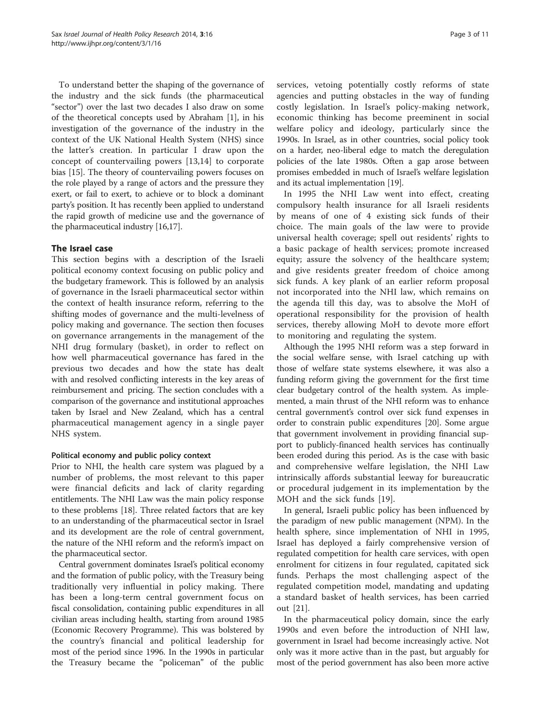<span id="page-2-0"></span>To understand better the shaping of the governance of the industry and the sick funds (the pharmaceutical "sector") over the last two decades I also draw on some of the theoretical concepts used by Abraham [\[1\]](#page-9-0), in his investigation of the governance of the industry in the context of the UK National Health System (NHS) since the latter's creation. In particular I draw upon the concept of countervailing powers [[13,14](#page-9-0)] to corporate bias [[15](#page-9-0)]. The theory of countervailing powers focuses on the role played by a range of actors and the pressure they exert, or fail to exert, to achieve or to block a dominant party's position. It has recently been applied to understand the rapid growth of medicine use and the governance of the pharmaceutical industry [\[16,17\]](#page-9-0).

# The Israel case

This section begins with a description of the Israeli political economy context focusing on public policy and the budgetary framework. This is followed by an analysis of governance in the Israeli pharmaceutical sector within the context of health insurance reform, referring to the shifting modes of governance and the multi-levelness of policy making and governance. The section then focuses on governance arrangements in the management of the NHI drug formulary (basket), in order to reflect on how well pharmaceutical governance has fared in the previous two decades and how the state has dealt with and resolved conflicting interests in the key areas of reimbursement and pricing. The section concludes with a comparison of the governance and institutional approaches taken by Israel and New Zealand, which has a central pharmaceutical management agency in a single payer NHS system.

# Political economy and public policy context

Prior to NHI, the health care system was plagued by a number of problems, the most relevant to this paper were financial deficits and lack of clarity regarding entitlements. The NHI Law was the main policy response to these problems [\[18\]](#page-9-0). Three related factors that are key to an understanding of the pharmaceutical sector in Israel and its development are the role of central government, the nature of the NHI reform and the reform's impact on the pharmaceutical sector.

Central government dominates Israel's political economy and the formation of public policy, with the Treasury being traditionally very influential in policy making. There has been a long-term central government focus on fiscal consolidation, containing public expenditures in all civilian areas including health, starting from around 1985 (Economic Recovery Programme). This was bolstered by the country's financial and political leadership for most of the period since 1996. In the 1990s in particular the Treasury became the "policeman" of the public

services, vetoing potentially costly reforms of state agencies and putting obstacles in the way of funding costly legislation. In Israel's policy-making network, economic thinking has become preeminent in social welfare policy and ideology, particularly since the 1990s. In Israel, as in other countries, social policy took on a harder, neo-liberal edge to match the deregulation policies of the late 1980s. Often a gap arose between promises embedded in much of Israel's welfare legislation and its actual implementation [[19](#page-9-0)].

In 1995 the NHI Law went into effect, creating compulsory health insurance for all Israeli residents by means of one of 4 existing sick funds of their choice. The main goals of the law were to provide universal health coverage; spell out residents' rights to a basic package of health services; promote increased equity; assure the solvency of the healthcare system; and give residents greater freedom of choice among sick funds. A key plank of an earlier reform proposal not incorporated into the NHI law, which remains on the agenda till this day, was to absolve the MoH of operational responsibility for the provision of health services, thereby allowing MoH to devote more effort to monitoring and regulating the system.

Although the 1995 NHI reform was a step forward in the social welfare sense, with Israel catching up with those of welfare state systems elsewhere, it was also a funding reform giving the government for the first time clear budgetary control of the health system. As implemented, a main thrust of the NHI reform was to enhance central government's control over sick fund expenses in order to constrain public expenditures [\[20\]](#page-9-0). Some argue that government involvement in providing financial support to publicly-financed health services has continually been eroded during this period. As is the case with basic and comprehensive welfare legislation, the NHI Law intrinsically affords substantial leeway for bureaucratic or procedural judgement in its implementation by the MOH and the sick funds [[19\]](#page-9-0).

In general, Israeli public policy has been influenced by the paradigm of new public management (NPM). In the health sphere, since implementation of NHI in 1995, Israel has deployed a fairly comprehensive version of regulated competition for health care services, with open enrolment for citizens in four regulated, capitated sick funds. Perhaps the most challenging aspect of the regulated competition model, mandating and updating a standard basket of health services, has been carried out [[21\]](#page-9-0).

In the pharmaceutical policy domain, since the early 1990s and even before the introduction of NHI law, government in Israel had become increasingly active. Not only was it more active than in the past, but arguably for most of the period government has also been more active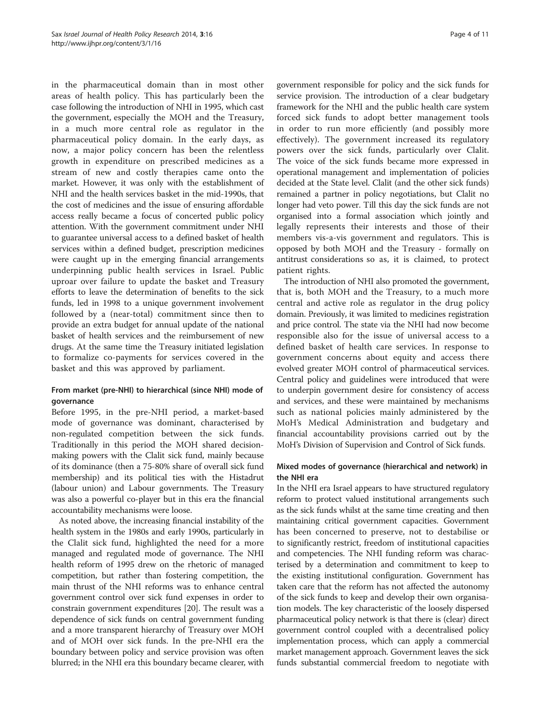in the pharmaceutical domain than in most other areas of health policy. This has particularly been the case following the introduction of NHI in 1995, which cast the government, especially the MOH and the Treasury, in a much more central role as regulator in the pharmaceutical policy domain. In the early days, as now, a major policy concern has been the relentless growth in expenditure on prescribed medicines as a stream of new and costly therapies came onto the market. However, it was only with the establishment of NHI and the health services basket in the mid-1990s, that the cost of medicines and the issue of ensuring affordable access really became a focus of concerted public policy attention. With the government commitment under NHI to guarantee universal access to a defined basket of health services within a defined budget, prescription medicines were caught up in the emerging financial arrangements underpinning public health services in Israel. Public uproar over failure to update the basket and Treasury efforts to leave the determination of benefits to the sick funds, led in 1998 to a unique government involvement followed by a (near-total) commitment since then to provide an extra budget for annual update of the national basket of health services and the reimbursement of new drugs. At the same time the Treasury initiated legislation to formalize co-payments for services covered in the basket and this was approved by parliament.

# From market (pre-NHI) to hierarchical (since NHI) mode of governance

Before 1995, in the pre-NHI period, a market-based mode of governance was dominant, characterised by non-regulated competition between the sick funds. Traditionally in this period the MOH shared decisionmaking powers with the Clalit sick fund, mainly because of its dominance (then a 75-80% share of overall sick fund membership) and its political ties with the Histadrut (labour union) and Labour governments. The Treasury was also a powerful co-player but in this era the financial accountability mechanisms were loose.

As noted above, the increasing financial instability of the health system in the 1980s and early 1990s, particularly in the Clalit sick fund, highlighted the need for a more managed and regulated mode of governance. The NHI health reform of 1995 drew on the rhetoric of managed competition, but rather than fostering competition, the main thrust of the NHI reforms was to enhance central government control over sick fund expenses in order to constrain government expenditures [[20](#page-9-0)]. The result was a dependence of sick funds on central government funding and a more transparent hierarchy of Treasury over MOH and of MOH over sick funds. In the pre-NHI era the boundary between policy and service provision was often blurred; in the NHI era this boundary became clearer, with

government responsible for policy and the sick funds for service provision. The introduction of a clear budgetary framework for the NHI and the public health care system forced sick funds to adopt better management tools in order to run more efficiently (and possibly more effectively). The government increased its regulatory powers over the sick funds, particularly over Clalit. The voice of the sick funds became more expressed in operational management and implementation of policies decided at the State level. Clalit (and the other sick funds) remained a partner in policy negotiations, but Clalit no longer had veto power. Till this day the sick funds are not organised into a formal association which jointly and legally represents their interests and those of their members vis-a-vis government and regulators. This is opposed by both MOH and the Treasury - formally on antitrust considerations so as, it is claimed, to protect patient rights.

The introduction of NHI also promoted the government, that is, both MOH and the Treasury, to a much more central and active role as regulator in the drug policy domain. Previously, it was limited to medicines registration and price control. The state via the NHI had now become responsible also for the issue of universal access to a defined basket of health care services. In response to government concerns about equity and access there evolved greater MOH control of pharmaceutical services. Central policy and guidelines were introduced that were to underpin government desire for consistency of access and services, and these were maintained by mechanisms such as national policies mainly administered by the MoH's Medical Administration and budgetary and financial accountability provisions carried out by the MoH's Division of Supervision and Control of Sick funds.

# Mixed modes of governance (hierarchical and network) in the NHI era

In the NHI era Israel appears to have structured regulatory reform to protect valued institutional arrangements such as the sick funds whilst at the same time creating and then maintaining critical government capacities. Government has been concerned to preserve, not to destabilise or to significantly restrict, freedom of institutional capacities and competencies. The NHI funding reform was characterised by a determination and commitment to keep to the existing institutional configuration. Government has taken care that the reform has not affected the autonomy of the sick funds to keep and develop their own organisation models. The key characteristic of the loosely dispersed pharmaceutical policy network is that there is (clear) direct government control coupled with a decentralised policy implementation process, which can apply a commercial market management approach. Government leaves the sick funds substantial commercial freedom to negotiate with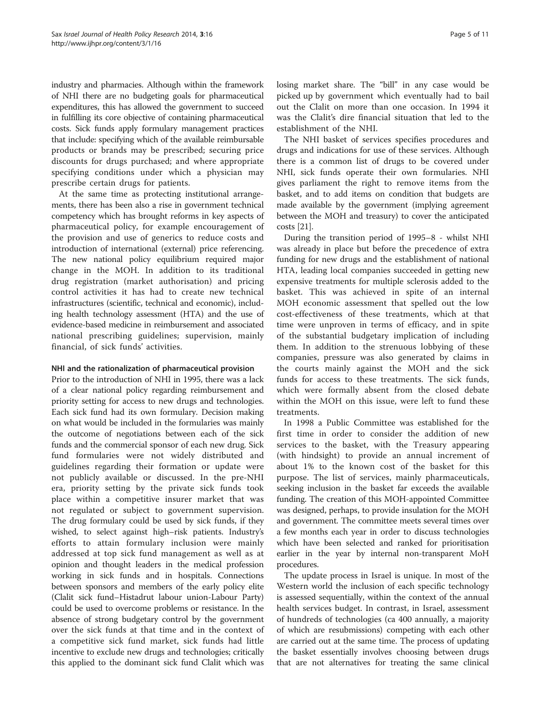industry and pharmacies. Although within the framework of NHI there are no budgeting goals for pharmaceutical expenditures, this has allowed the government to succeed in fulfilling its core objective of containing pharmaceutical costs. Sick funds apply formulary management practices that include: specifying which of the available reimbursable products or brands may be prescribed; securing price discounts for drugs purchased; and where appropriate specifying conditions under which a physician may prescribe certain drugs for patients.

At the same time as protecting institutional arrangements, there has been also a rise in government technical competency which has brought reforms in key aspects of pharmaceutical policy, for example encouragement of the provision and use of generics to reduce costs and introduction of international (external) price referencing. The new national policy equilibrium required major change in the MOH. In addition to its traditional drug registration (market authorisation) and pricing control activities it has had to create new technical infrastructures (scientific, technical and economic), including health technology assessment (HTA) and the use of evidence-based medicine in reimbursement and associated national prescribing guidelines; supervision, mainly financial, of sick funds' activities.

## NHI and the rationalization of pharmaceutical provision

Prior to the introduction of NHI in 1995, there was a lack of a clear national policy regarding reimbursement and priority setting for access to new drugs and technologies. Each sick fund had its own formulary. Decision making on what would be included in the formularies was mainly the outcome of negotiations between each of the sick funds and the commercial sponsor of each new drug. Sick fund formularies were not widely distributed and guidelines regarding their formation or update were not publicly available or discussed. In the pre-NHI era, priority setting by the private sick funds took place within a competitive insurer market that was not regulated or subject to government supervision. The drug formulary could be used by sick funds, if they wished, to select against high–risk patients. Industry's efforts to attain formulary inclusion were mainly addressed at top sick fund management as well as at opinion and thought leaders in the medical profession working in sick funds and in hospitals. Connections between sponsors and members of the early policy elite (Clalit sick fund–Histadrut labour union-Labour Party) could be used to overcome problems or resistance. In the absence of strong budgetary control by the government over the sick funds at that time and in the context of a competitive sick fund market, sick funds had little incentive to exclude new drugs and technologies; critically this applied to the dominant sick fund Clalit which was losing market share. The "bill" in any case would be picked up by government which eventually had to bail out the Clalit on more than one occasion. In 1994 it was the Clalit's dire financial situation that led to the establishment of the NHI.

The NHI basket of services specifies procedures and drugs and indications for use of these services. Although there is a common list of drugs to be covered under NHI, sick funds operate their own formularies. NHI gives parliament the right to remove items from the basket, and to add items on condition that budgets are made available by the government (implying agreement between the MOH and treasury) to cover the anticipated costs [\[21\]](#page-9-0).

During the transition period of 1995–8 - whilst NHI was already in place but before the precedence of extra funding for new drugs and the establishment of national HTA, leading local companies succeeded in getting new expensive treatments for multiple sclerosis added to the basket. This was achieved in spite of an internal MOH economic assessment that spelled out the low cost-effectiveness of these treatments, which at that time were unproven in terms of efficacy, and in spite of the substantial budgetary implication of including them. In addition to the strenuous lobbying of these companies, pressure was also generated by claims in the courts mainly against the MOH and the sick funds for access to these treatments. The sick funds, which were formally absent from the closed debate within the MOH on this issue, were left to fund these treatments.

In 1998 a Public Committee was established for the first time in order to consider the addition of new services to the basket, with the Treasury appearing (with hindsight) to provide an annual increment of about 1% to the known cost of the basket for this purpose. The list of services, mainly pharmaceuticals, seeking inclusion in the basket far exceeds the available funding. The creation of this MOH-appointed Committee was designed, perhaps, to provide insulation for the MOH and government. The committee meets several times over a few months each year in order to discuss technologies which have been selected and ranked for prioritisation earlier in the year by internal non-transparent MoH procedures.

The update process in Israel is unique. In most of the Western world the inclusion of each specific technology is assessed sequentially, within the context of the annual health services budget. In contrast, in Israel, assessment of hundreds of technologies (ca 400 annually, a majority of which are resubmissions) competing with each other are carried out at the same time. The process of updating the basket essentially involves choosing between drugs that are not alternatives for treating the same clinical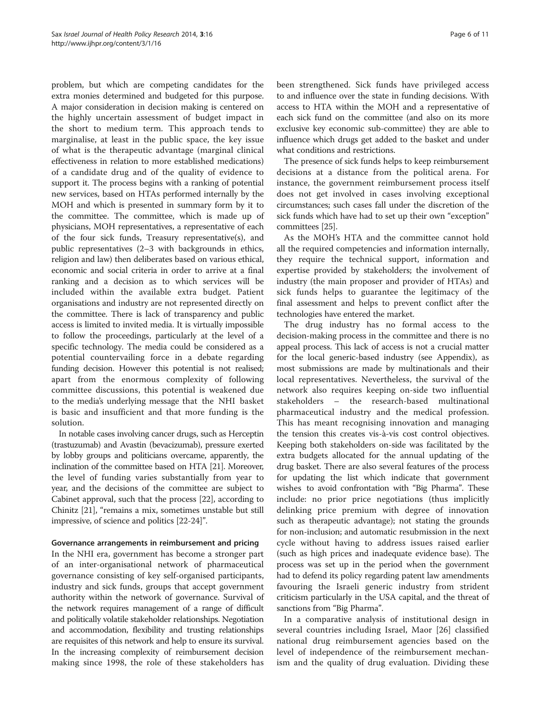problem, but which are competing candidates for the extra monies determined and budgeted for this purpose. A major consideration in decision making is centered on the highly uncertain assessment of budget impact in the short to medium term. This approach tends to marginalise, at least in the public space, the key issue of what is the therapeutic advantage (marginal clinical effectiveness in relation to more established medications) of a candidate drug and of the quality of evidence to support it. The process begins with a ranking of potential new services, based on HTAs performed internally by the MOH and which is presented in summary form by it to the committee. The committee, which is made up of physicians, MOH representatives, a representative of each of the four sick funds, Treasury representative(s), and public representatives (2–3 with backgrounds in ethics, religion and law) then deliberates based on various ethical, economic and social criteria in order to arrive at a final ranking and a decision as to which services will be included within the available extra budget. Patient organisations and industry are not represented directly on the committee. There is lack of transparency and public access is limited to invited media. It is virtually impossible to follow the proceedings, particularly at the level of a specific technology. The media could be considered as a potential countervailing force in a debate regarding funding decision. However this potential is not realised; apart from the enormous complexity of following committee discussions, this potential is weakened due to the media's underlying message that the NHI basket is basic and insufficient and that more funding is the solution.

In notable cases involving cancer drugs, such as Herceptin (trastuzumab) and Avastin (bevacizumab), pressure exerted by lobby groups and politicians overcame, apparently, the inclination of the committee based on HTA [\[21](#page-9-0)]. Moreover, the level of funding varies substantially from year to year, and the decisions of the committee are subject to Cabinet approval, such that the process [\[22](#page-9-0)], according to Chinitz [\[21\]](#page-9-0), "remains a mix, sometimes unstable but still impressive, of science and politics [\[22-24\]](#page-9-0)".

#### Governance arrangements in reimbursement and pricing

In the NHI era, government has become a stronger part of an inter-organisational network of pharmaceutical governance consisting of key self-organised participants, industry and sick funds, groups that accept government authority within the network of governance. Survival of the network requires management of a range of difficult and politically volatile stakeholder relationships. Negotiation and accommodation, flexibility and trusting relationships are requisites of this network and help to ensure its survival. In the increasing complexity of reimbursement decision making since 1998, the role of these stakeholders has

been strengthened. Sick funds have privileged access to and influence over the state in funding decisions. With access to HTA within the MOH and a representative of each sick fund on the committee (and also on its more exclusive key economic sub-committee) they are able to influence which drugs get added to the basket and under what conditions and restrictions.

The presence of sick funds helps to keep reimbursement decisions at a distance from the political arena. For instance, the government reimbursement process itself does not get involved in cases involving exceptional circumstances; such cases fall under the discretion of the sick funds which have had to set up their own "exception" committees [[25\]](#page-9-0).

As the MOH's HTA and the committee cannot hold all the required competencies and information internally, they require the technical support, information and expertise provided by stakeholders; the involvement of industry (the main proposer and provider of HTAs) and sick funds helps to guarantee the legitimacy of the final assessment and helps to prevent conflict after the technologies have entered the market.

The drug industry has no formal access to the decision-making process in the committee and there is no appeal process. This lack of access is not a crucial matter for the local generic-based industry (see [Appendix](#page-8-0)), as most submissions are made by multinationals and their local representatives. Nevertheless, the survival of the network also requires keeping on-side two influential stakeholders – the research-based multinational pharmaceutical industry and the medical profession. This has meant recognising innovation and managing the tension this creates vis-à-vis cost control objectives. Keeping both stakeholders on-side was facilitated by the extra budgets allocated for the annual updating of the drug basket. There are also several features of the process for updating the list which indicate that government wishes to avoid confrontation with "Big Pharma". These include: no prior price negotiations (thus implicitly delinking price premium with degree of innovation such as therapeutic advantage); not stating the grounds for non-inclusion; and automatic resubmission in the next cycle without having to address issues raised earlier (such as high prices and inadequate evidence base). The process was set up in the period when the government had to defend its policy regarding patent law amendments favouring the Israeli generic industry from strident criticism particularly in the USA capital, and the threat of sanctions from "Big Pharma".

In a comparative analysis of institutional design in several countries including Israel, Maor [\[26\]](#page-9-0) classified national drug reimbursement agencies based on the level of independence of the reimbursement mechanism and the quality of drug evaluation. Dividing these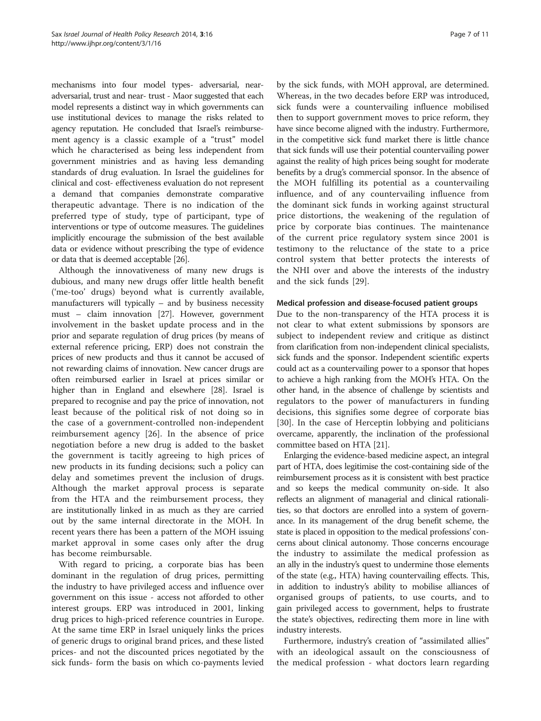mechanisms into four model types- adversarial, nearadversarial, trust and near- trust - Maor suggested that each model represents a distinct way in which governments can use institutional devices to manage the risks related to agency reputation. He concluded that Israel's reimbursement agency is a classic example of a "trust" model which he characterised as being less independent from government ministries and as having less demanding standards of drug evaluation. In Israel the guidelines for clinical and cost- effectiveness evaluation do not represent a demand that companies demonstrate comparative therapeutic advantage. There is no indication of the preferred type of study, type of participant, type of interventions or type of outcome measures. The guidelines implicitly encourage the submission of the best available data or evidence without prescribing the type of evidence or data that is deemed acceptable [\[26\]](#page-9-0).

Although the innovativeness of many new drugs is dubious, and many new drugs offer little health benefit ('me-too' drugs) beyond what is currently available, manufacturers will typically – and by business necessity must – claim innovation [[27\]](#page-9-0). However, government involvement in the basket update process and in the prior and separate regulation of drug prices (by means of external reference pricing, ERP) does not constrain the prices of new products and thus it cannot be accused of not rewarding claims of innovation. New cancer drugs are often reimbursed earlier in Israel at prices similar or higher than in England and elsewhere [\[28\]](#page-9-0). Israel is prepared to recognise and pay the price of innovation, not least because of the political risk of not doing so in the case of a government-controlled non-independent reimbursement agency [[26](#page-9-0)]. In the absence of price negotiation before a new drug is added to the basket the government is tacitly agreeing to high prices of new products in its funding decisions; such a policy can delay and sometimes prevent the inclusion of drugs. Although the market approval process is separate from the HTA and the reimbursement process, they are institutionally linked in as much as they are carried out by the same internal directorate in the MOH. In recent years there has been a pattern of the MOH issuing market approval in some cases only after the drug has become reimbursable.

With regard to pricing, a corporate bias has been dominant in the regulation of drug prices, permitting the industry to have privileged access and influence over government on this issue - access not afforded to other interest groups. ERP was introduced in 2001, linking drug prices to high-priced reference countries in Europe. At the same time ERP in Israel uniquely links the prices of generic drugs to original brand prices, and these listed prices- and not the discounted prices negotiated by the sick funds- form the basis on which co-payments levied by the sick funds, with MOH approval, are determined. Whereas, in the two decades before ERP was introduced, sick funds were a countervailing influence mobilised then to support government moves to price reform, they have since become aligned with the industry. Furthermore, in the competitive sick fund market there is little chance that sick funds will use their potential countervailing power against the reality of high prices being sought for moderate benefits by a drug's commercial sponsor. In the absence of the MOH fulfilling its potential as a countervailing influence, and of any countervailing influence from the dominant sick funds in working against structural price distortions, the weakening of the regulation of price by corporate bias continues. The maintenance of the current price regulatory system since 2001 is testimony to the reluctance of the state to a price control system that better protects the interests of the NHI over and above the interests of the industry and the sick funds [\[29](#page-9-0)].

#### Medical profession and disease-focused patient groups

Due to the non-transparency of the HTA process it is not clear to what extent submissions by sponsors are subject to independent review and critique as distinct from clarification from non-independent clinical specialists, sick funds and the sponsor. Independent scientific experts could act as a countervailing power to a sponsor that hopes to achieve a high ranking from the MOH's HTA. On the other hand, in the absence of challenge by scientists and regulators to the power of manufacturers in funding decisions, this signifies some degree of corporate bias [[30\]](#page-10-0). In the case of Herceptin lobbying and politicians overcame, apparently, the inclination of the professional committee based on HTA [\[21\]](#page-9-0).

Enlarging the evidence-based medicine aspect, an integral part of HTA, does legitimise the cost-containing side of the reimbursement process as it is consistent with best practice and so keeps the medical community on-side. It also reflects an alignment of managerial and clinical rationalities, so that doctors are enrolled into a system of governance. In its management of the drug benefit scheme, the state is placed in opposition to the medical professions' concerns about clinical autonomy. Those concerns encourage the industry to assimilate the medical profession as an ally in the industry's quest to undermine those elements of the state (e.g., HTA) having countervailing effects. This, in addition to industry's ability to mobilise alliances of organised groups of patients, to use courts, and to gain privileged access to government, helps to frustrate the state's objectives, redirecting them more in line with industry interests.

Furthermore, industry's creation of "assimilated allies" with an ideological assault on the consciousness of the medical profession - what doctors learn regarding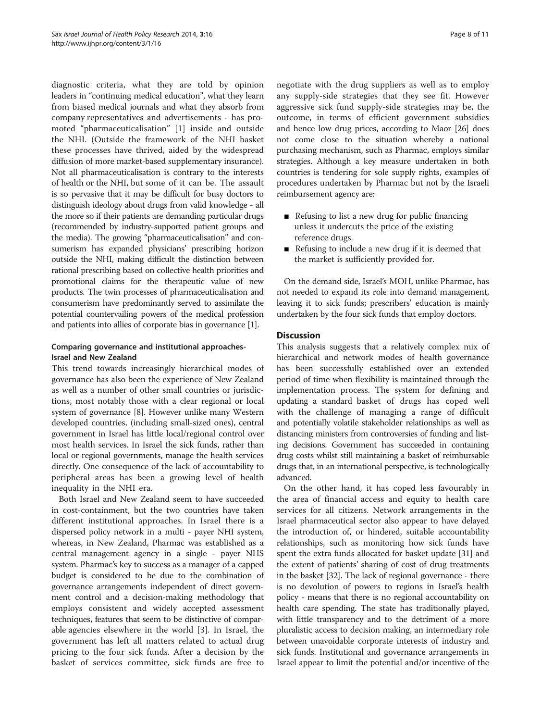<span id="page-7-0"></span>diagnostic criteria, what they are told by opinion leaders in "continuing medical education", what they learn from biased medical journals and what they absorb from company representatives and advertisements - has promoted "pharmaceuticalisation" [[1\]](#page-9-0) inside and outside the NHI. (Outside the framework of the NHI basket these processes have thrived, aided by the widespread diffusion of more market-based supplementary insurance). Not all pharmaceuticalisation is contrary to the interests of health or the NHI, but some of it can be. The assault is so pervasive that it may be difficult for busy doctors to distinguish ideology about drugs from valid knowledge - all the more so if their patients are demanding particular drugs (recommended by industry-supported patient groups and the media). The growing "pharmaceuticalisation" and consumerism has expanded physicians' prescribing horizon outside the NHI, making difficult the distinction between rational prescribing based on collective health priorities and promotional claims for the therapeutic value of new products. The twin processes of pharmaceuticalisation and consumerism have predominantly served to assimilate the potential countervailing powers of the medical profession and patients into allies of corporate bias in governance [[1](#page-9-0)].

# Comparing governance and institutional approaches-Israel and New Zealand

This trend towards increasingly hierarchical modes of governance has also been the experience of New Zealand as well as a number of other small countries or jurisdictions, most notably those with a clear regional or local system of governance [\[8](#page-9-0)]. However unlike many Western developed countries, (including small-sized ones), central government in Israel has little local/regional control over most health services. In Israel the sick funds, rather than local or regional governments, manage the health services directly. One consequence of the lack of accountability to peripheral areas has been a growing level of health inequality in the NHI era.

Both Israel and New Zealand seem to have succeeded in cost-containment, but the two countries have taken different institutional approaches. In Israel there is a dispersed policy network in a multi - payer NHI system, whereas, in New Zealand, Pharmac was established as a central management agency in a single - payer NHS system. Pharmac's key to success as a manager of a capped budget is considered to be due to the combination of governance arrangements independent of direct government control and a decision-making methodology that employs consistent and widely accepted assessment techniques, features that seem to be distinctive of comparable agencies elsewhere in the world [[3\]](#page-9-0). In Israel, the government has left all matters related to actual drug pricing to the four sick funds. After a decision by the basket of services committee, sick funds are free to

negotiate with the drug suppliers as well as to employ any supply-side strategies that they see fit. However aggressive sick fund supply-side strategies may be, the outcome, in terms of efficient government subsidies and hence low drug prices, according to Maor [[26](#page-9-0)] does not come close to the situation whereby a national purchasing mechanism, such as Pharmac, employs similar strategies. Although a key measure undertaken in both countries is tendering for sole supply rights, examples of procedures undertaken by Pharmac but not by the Israeli reimbursement agency are:

- Refusing to list a new drug for public financing unless it undercuts the price of the existing reference drugs.
- Refusing to include a new drug if it is deemed that the market is sufficiently provided for.

On the demand side, Israel's MOH, unlike Pharmac, has not needed to expand its role into demand management, leaving it to sick funds; prescribers' education is mainly undertaken by the four sick funds that employ doctors.

# **Discussion**

This analysis suggests that a relatively complex mix of hierarchical and network modes of health governance has been successfully established over an extended period of time when flexibility is maintained through the implementation process. The system for defining and updating a standard basket of drugs has coped well with the challenge of managing a range of difficult and potentially volatile stakeholder relationships as well as distancing ministers from controversies of funding and listing decisions. Government has succeeded in containing drug costs whilst still maintaining a basket of reimbursable drugs that, in an international perspective, is technologically advanced.

On the other hand, it has coped less favourably in the area of financial access and equity to health care services for all citizens. Network arrangements in the Israel pharmaceutical sector also appear to have delayed the introduction of, or hindered, suitable accountability relationships, such as monitoring how sick funds have spent the extra funds allocated for basket update [\[31\]](#page-10-0) and the extent of patients' sharing of cost of drug treatments in the basket [\[32\]](#page-10-0). The lack of regional governance - there is no devolution of powers to regions in Israel's health policy - means that there is no regional accountability on health care spending. The state has traditionally played, with little transparency and to the detriment of a more pluralistic access to decision making, an intermediary role between unavoidable corporate interests of industry and sick funds. Institutional and governance arrangements in Israel appear to limit the potential and/or incentive of the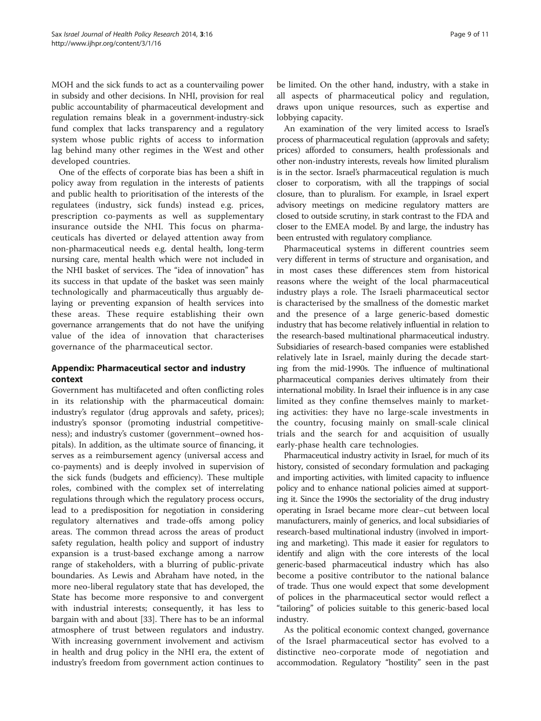<span id="page-8-0"></span>MOH and the sick funds to act as a countervailing power in subsidy and other decisions. In NHI, provision for real public accountability of pharmaceutical development and regulation remains bleak in a government-industry-sick fund complex that lacks transparency and a regulatory system whose public rights of access to information lag behind many other regimes in the West and other developed countries.

One of the effects of corporate bias has been a shift in policy away from regulation in the interests of patients and public health to prioritisation of the interests of the regulatees (industry, sick funds) instead e.g. prices, prescription co-payments as well as supplementary insurance outside the NHI. This focus on pharmaceuticals has diverted or delayed attention away from non-pharmaceutical needs e.g. dental health, long-term nursing care, mental health which were not included in the NHI basket of services. The "idea of innovation" has its success in that update of the basket was seen mainly technologically and pharmaceutically thus arguably delaying or preventing expansion of health services into these areas. These require establishing their own governance arrangements that do not have the unifying value of the idea of innovation that characterises governance of the pharmaceutical sector.

# Appendix: Pharmaceutical sector and industry context

Government has multifaceted and often conflicting roles in its relationship with the pharmaceutical domain: industry's regulator (drug approvals and safety, prices); industry's sponsor (promoting industrial competitiveness); and industry's customer (government–owned hospitals). In addition, as the ultimate source of financing, it serves as a reimbursement agency (universal access and co-payments) and is deeply involved in supervision of the sick funds (budgets and efficiency). These multiple roles, combined with the complex set of interrelating regulations through which the regulatory process occurs, lead to a predisposition for negotiation in considering regulatory alternatives and trade-offs among policy areas. The common thread across the areas of product safety regulation, health policy and support of industry expansion is a trust-based exchange among a narrow range of stakeholders, with a blurring of public-private boundaries. As Lewis and Abraham have noted, in the more neo-liberal regulatory state that has developed, the State has become more responsive to and convergent with industrial interests; consequently, it has less to bargain with and about [[33\]](#page-10-0). There has to be an informal atmosphere of trust between regulators and industry. With increasing government involvement and activism in health and drug policy in the NHI era, the extent of industry's freedom from government action continues to

be limited. On the other hand, industry, with a stake in all aspects of pharmaceutical policy and regulation, draws upon unique resources, such as expertise and lobbying capacity.

An examination of the very limited access to Israel's process of pharmaceutical regulation (approvals and safety; prices) afforded to consumers, health professionals and other non-industry interests, reveals how limited pluralism is in the sector. Israel's pharmaceutical regulation is much closer to corporatism, with all the trappings of social closure, than to pluralism. For example, in Israel expert advisory meetings on medicine regulatory matters are closed to outside scrutiny, in stark contrast to the FDA and closer to the EMEA model. By and large, the industry has been entrusted with regulatory compliance.

Pharmaceutical systems in different countries seem very different in terms of structure and organisation, and in most cases these differences stem from historical reasons where the weight of the local pharmaceutical industry plays a role. The Israeli pharmaceutical sector is characterised by the smallness of the domestic market and the presence of a large generic-based domestic industry that has become relatively influential in relation to the research-based multinational pharmaceutical industry. Subsidiaries of research-based companies were established relatively late in Israel, mainly during the decade starting from the mid-1990s. The influence of multinational pharmaceutical companies derives ultimately from their international mobility. In Israel their influence is in any case limited as they confine themselves mainly to marketing activities: they have no large-scale investments in the country, focusing mainly on small-scale clinical trials and the search for and acquisition of usually early-phase health care technologies.

Pharmaceutical industry activity in Israel, for much of its history, consisted of secondary formulation and packaging and importing activities, with limited capacity to influence policy and to enhance national policies aimed at supporting it. Since the 1990s the sectoriality of the drug industry operating in Israel became more clear–cut between local manufacturers, mainly of generics, and local subsidiaries of research-based multinational industry (involved in importing and marketing). This made it easier for regulators to identify and align with the core interests of the local generic-based pharmaceutical industry which has also become a positive contributor to the national balance of trade. Thus one would expect that some development of polices in the pharmaceutical sector would reflect a "tailoring" of policies suitable to this generic-based local industry.

As the political economic context changed, governance of the Israel pharmaceutical sector has evolved to a distinctive neo-corporate mode of negotiation and accommodation. Regulatory "hostility" seen in the past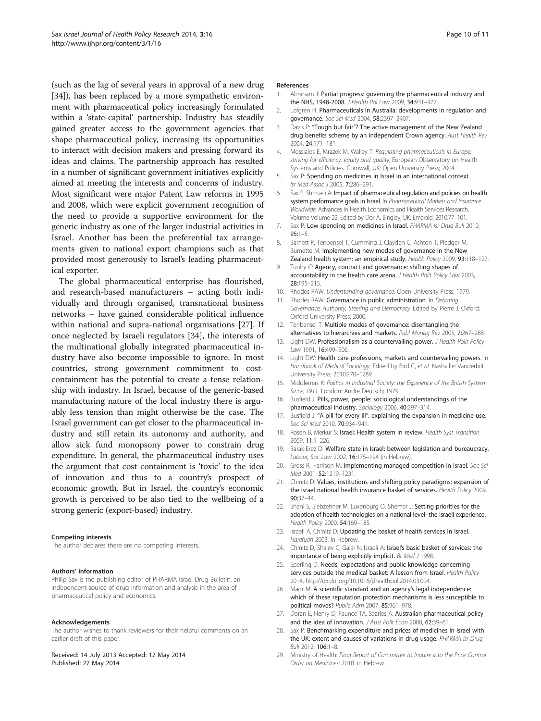<span id="page-9-0"></span>(such as the lag of several years in approval of a new drug [[34](#page-10-0)]), has been replaced by a more sympathetic environment with pharmaceutical policy increasingly formulated within a 'state-capital' partnership. Industry has steadily gained greater access to the government agencies that shape pharmaceutical policy, increasing its opportunities to interact with decision makers and pressing forward its ideas and claims. The partnership approach has resulted in a number of significant government initiatives explicitly aimed at meeting the interests and concerns of industry. Most significant were major Patent Law reforms in 1995 and 2008, which were explicit government recognition of the need to provide a supportive environment for the generic industry as one of the larger industrial activities in Israel. Another has been the preferential tax arrangements given to national export champions such as that provided most generously to Israel's leading pharmaceutical exporter.

The global pharmaceutical enterprise has flourished, and research-based manufacturers – acting both individually and through organised, transnational business networks – have gained considerable political influence within national and supra-national organisations [27]. If once neglected by Israeli regulators [[34\]](#page-10-0), the interests of the multinational globally integrated pharmaceutical industry have also become impossible to ignore. In most countries, strong government commitment to costcontainment has the potential to create a tense relationship with industry. In Israel, because of the generic-based manufacturing nature of the local industry there is arguably less tension than might otherwise be the case. The Israel government can get closer to the pharmaceutical industry and still retain its autonomy and authority, and allow sick fund monopsony power to constrain drug expenditure. In general, the pharmaceutical industry uses the argument that cost containment is 'toxic' to the idea of innovation and thus to a country's prospect of economic growth. But in Israel, the country's economic growth is perceived to be also tied to the wellbeing of a strong generic (export-based) industry.

#### Competing interests

The author declares there are no competing interests.

#### Authors' information

Philip Sax is the publishing editor of PHARMA Israel Drug Bulletin, an independent source of drug information and analysis in the area of pharmaceutical policy and economics.

#### Acknowledgements

The author wishes to thank reviewers for their helpful comments on an earlier draft of this paper.

Received: 14 July 2013 Accepted: 12 May 2014 Published: 27 May 2014

#### References

- 1. Abraham J: Partial progress: governing the pharmaceutical industry and the NHS, 1948-2008. J Health Pol Law 2009, 34:931–977.
- Lofgren H: Pharmaceuticals in Australia: developments in regulation and governance. Soc Sci Med 2004, 58:2397–2407.
- 3. Davis P: "Tough but fair"? The active management of the New Zealand drug benefits scheme by an independent Crown agency. Aust Health Rev 2004, 24:171–181.
- 4. Mossialos E, Mrazek M, Walley T: Regulating pharmaceuticals in Europe: striving for efficiency, equity and quality, European Observatory on Health Systems and Policies. Cornwall, UK: Open University Press; 2004.
- 5. Sax P: Spending on medicines in Israel in an international context. Isr Med Assoc J 2005, 7:286–291.
- 6. Sax P, Shmueli A: Impact of pharmaceutical regulation and policies on health system performance goals in Israel. In Pharmaceutical Markets and Insurance Worldwide, Advances in Health Economics and Health Services Research, Volume Volume 22. Edited by Dor A. Bingley, UK: Emerald; 2010:77–101.
- 7. Sax P: Low spending on medicines in Israel. PHARMA Isr Drug Bull 2010,  $95.1 - 5$
- 8. Barnett P, Tenbensel T, Cumming J, Clayden C, Ashton T, Pledger M, Burnette M: Implementing new modes of governance in the New Zealand health system: an empirical study. Health Policy 2009, 93:118–127.
- 9. Tuohy C: Agency, contract and governance: shifting shapes of accountability in the health care arena. J Health Polit Policy Law 2003, 28:195–215.
- 10. Rhodes RAW: Understanding governance. Open University Press; 1979.
- 11. Rhodes RAW: Governance in public administration. In Debating Governance, Authority, Steering and Democracy. Edited by Pierre J. Oxford: Oxford University Press; 2000.
- 12. Tenbensel T: Multiple modes of governance: disentangling the
- alternatives to hierarchies and markets. Publ Manag Rev 2005, 7:267–288. 13. Light DW: Professionalism as a countervailing power. J Health Polit Policy Law 1991, 16:499–506.
- 14. Light DW: Health care professions, markets and countervailing powers. In Handbook of Medical Sociology. Edited by Bird C, et al. Nashville: Vanderbilt University Press; 2010:270–1289.
- 15. Middlemas K: Politics in Industrial Society: the Experience of the British System Since, 1911. London: Andre Deutsch; 1979.
- 16. Busfield J: Pills, power, people: sociological understandings of the pharmaceutical industry. Sociology 2006, 40:297–314.
- 17. Busfield J: "A pill for every ill": explaining the expansion in medicine use. Soc Sci Med 2010, 70:934–941.
- 18. Rosen B, Merkur S: Israel: Health system in review. Health Syst Transition 2009, 11:1–226.
- 19. Barak-Erez D: Welfare state in Israel: between legislation and bureaucracy. Labour, Soc Law 2002, 16:175–194 (in Hebrew).
- 20. Gross R, Harrison M: Implementing managed competition in Israel. Soc Sci Med 2001, 52:1219–1231.
- 21. Chinitz D: Values, institutions and shifting policy paradigms: expansion of the Israel national health insurance basket of services. Health Policy 2009, 90:37–44.
- 22. Shani S, Siebzehner M, Luxenburg O, Shemer J: Setting priorities for the adoption of health technologies on a national level- the Israeli experience. Health Policy 2000, 54:169–185.
- 23. Israeli A, Chinitz D: Updating the basket of health services in Israel. Harefuah 2003, in Hebrew.
- 24. Chinitz D, Shalev C, Galai N, Israeli A: Israel's basic basket of services: the importance of being explicitly implicit. Br Med J 1998.
- 25. Sperling D: Needs, expectations and public knowledge concerning services outside the medical basket: A lesson from Israel. Health Policy 2014, http://dx.doi.org/10.1016/j.healthpol.2014.03.004.
- 26. Maor M: A scientific standard and an agency's legal independence: which of these reputation protection mechanisms is less susceptible to political moves? Public Adm 2007, 85:961–978.
- 27. Doran E, Henry D, Faunce TA, Searles A: Australian pharmaceutical policy and the idea of innovation. J Aust Polit Econ 2008, 62:39-61.
- 28. Sax P: Benchmarking expenditure and prices of medicines in Israel with the UK: extent and causes of variations in drug usage. PHARMA Isr Drug Bull 2012, 106:1–8.
- 29. Ministry of Health: Final Report of Committee to Inquire into the Price Control Order on Medicines; 2010. in Hebrew.